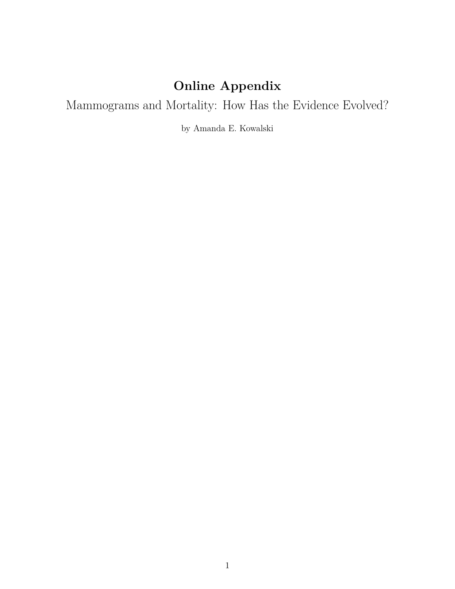# **Online Appendix**

Mammograms and Mortality: How Has the Evidence Evolved?

by Amanda E. Kowalski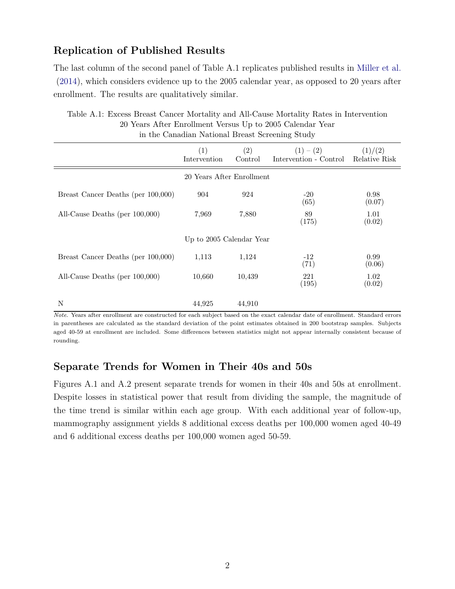### **Replication of Published Results**

The last column of the second panel of Table [A.1](#page-1-0) replicates published results in [Miller et al.](#page-3-0) [\(2014\)](#page-3-0), which considers evidence up to the 2005 calendar year, as opposed to 20 years after enrollment. The results are qualitatively similar.

| in the canadian rational Brease Sereching Seaty |                     |                |                                                   |                |
|-------------------------------------------------|---------------------|----------------|---------------------------------------------------|----------------|
|                                                 | (1)<br>Intervention | (2)<br>Control | $(1)-(2)$<br>Intervention - Control Relative Risk | (1)/(2)        |
| 20 Years After Enrollment                       |                     |                |                                                   |                |
| Breast Cancer Deaths (per 100,000)              | 904                 | 924            | $-20$<br>(65)                                     | 0.98<br>(0.07) |
| All-Cause Deaths (per 100,000)                  | 7,969               | 7,880          | 89<br>(175)                                       | 1.01<br>(0.02) |
| Up to 2005 Calendar Year                        |                     |                |                                                   |                |
| Breast Cancer Deaths (per 100,000)              | 1,113               | 1,124          | $-12$<br>(71)                                     | 0.99<br>(0.06) |
| All-Cause Deaths (per $100,000$ )               | 10,660              | 10,439         | 221<br>(195)                                      | 1.02<br>(0.02) |
| N                                               | 44,925              | 44,910         |                                                   |                |

<span id="page-1-0"></span>Table A.1: Excess Breast Cancer Mortality and All-Cause Mortality Rates in Intervention 20 Years After Enrollment Versus Up to 2005 Calendar Year in the Canadian National Breast Screening Study

*Note*. Years after enrollment are constructed for each subject based on the exact calendar date of enrollment. Standard errors in parentheses are calculated as the standard deviation of the point estimates obtained in 200 bootstrap samples. Subjects aged 40-59 at enrollment are included. Some differences between statistics might not appear internally consistent because of rounding.

#### **Separate Trends for Women in Their 40s and 50s**

Figures [A.1](#page-2-0) and [A.2](#page-2-1) present separate trends for women in their 40s and 50s at enrollment. Despite losses in statistical power that result from dividing the sample, the magnitude of the time trend is similar within each age group. With each additional year of follow-up, mammography assignment yields 8 additional excess deaths per 100,000 women aged 40-49 and 6 additional excess deaths per 100,000 women aged 50-59.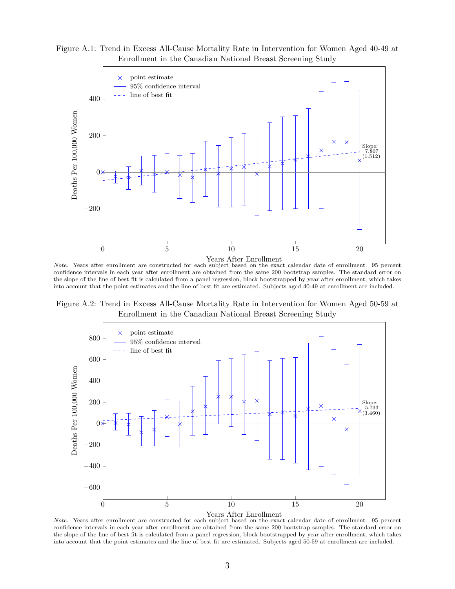<span id="page-2-0"></span>Figure A.1: Trend in Excess All-Cause Mortality Rate in Intervention for Women Aged 40-49 at Enrollment in the Canadian National Breast Screening Study



*Note*. Years after enrollment are constructed for each subject based on the exact calendar date of enrollment. 95 percent confidence intervals in each year after enrollment are obtained from the same 200 bootstrap samples. The standard error on the slope of the line of best fit is calculated from a panel regression, block bootstrapped by year after enrollment, which takes into account that the point estimates and the line of best fit are estimated. Subjects aged 40-49 at enrollment are included.

<span id="page-2-1"></span>Figure A.2: Trend in Excess All-Cause Mortality Rate in Intervention for Women Aged 50-59 at Enrollment in the Canadian National Breast Screening Study



*Note*. Years after enrollment are constructed for each subject based on the exact calendar date of enrollment. 95 percent confidence intervals in each year after enrollment are obtained from the same 200 bootstrap samples. The standard error on the slope of the line of best fit is calculated from a panel regression, block bootstrapped by year after enrollment, which takes into account that the point estimates and the line of best fit are estimated. Subjects aged 50-59 at enrollment are included.